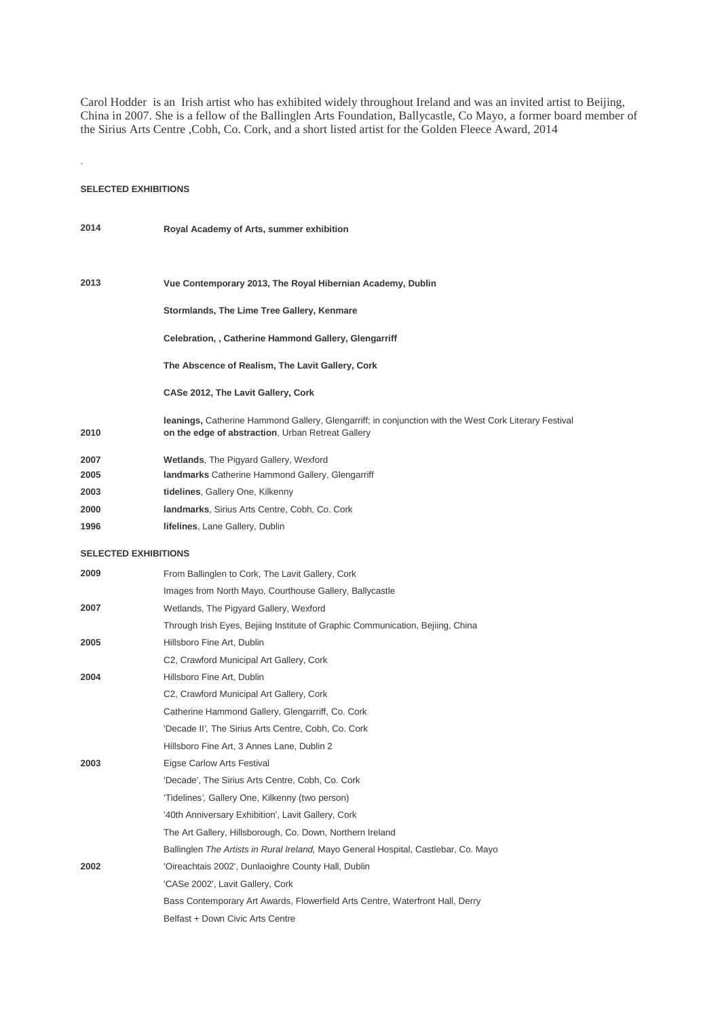Carol Hodder is an Irish artist who has exhibited widely throughout Ireland and was an invited artist to Beijing, China in 2007. She is a fellow of the Ballinglen Arts Foundation, Ballycastle, Co Mayo, a former board member of the Sirius Arts Centre ,Cobh, Co. Cork, and a short listed artist for the Golden Fleece Award, 2014

## **SELECTED EXHIBITIONS**

*.*

| 2014                        | Royal Academy of Arts, summer exhibition                                                                                                                   |  |
|-----------------------------|------------------------------------------------------------------------------------------------------------------------------------------------------------|--|
|                             |                                                                                                                                                            |  |
| 2013                        | Vue Contemporary 2013, The Royal Hibernian Academy, Dublin                                                                                                 |  |
|                             | Stormlands, The Lime Tree Gallery, Kenmare                                                                                                                 |  |
|                             | Celebration,, Catherine Hammond Gallery, Glengarriff                                                                                                       |  |
|                             | The Abscence of Realism, The Lavit Gallery, Cork                                                                                                           |  |
|                             | CASe 2012, The Lavit Gallery, Cork                                                                                                                         |  |
| 2010                        | leanings, Catherine Hammond Gallery, Glengarriff; in conjunction with the West Cork Literary Festival<br>on the edge of abstraction, Urban Retreat Gallery |  |
| 2007                        | Wetlands, The Pigyard Gallery, Wexford                                                                                                                     |  |
| 2005                        | <b>landmarks</b> Catherine Hammond Gallery, Glengarriff                                                                                                    |  |
| 2003                        | tidelines, Gallery One, Kilkenny                                                                                                                           |  |
| 2000                        | landmarks, Sirius Arts Centre, Cobh, Co. Cork                                                                                                              |  |
| 1996                        | <b>lifelines, Lane Gallery, Dublin</b>                                                                                                                     |  |
| <b>SELECTED EXHIBITIONS</b> |                                                                                                                                                            |  |
| 2009                        | From Ballinglen to Cork, The Lavit Gallery, Cork                                                                                                           |  |
|                             | Images from North Mayo, Courthouse Gallery, Ballycastle                                                                                                    |  |
| 2007                        | Wetlands, The Pigyard Gallery, Wexford                                                                                                                     |  |
|                             | Through Irish Eyes, Bejiing Institute of Graphic Communication, Bejiing, China                                                                             |  |
| 2005                        | Hillsboro Fine Art, Dublin                                                                                                                                 |  |
|                             | C2, Crawford Municipal Art Gallery, Cork                                                                                                                   |  |
| 2004                        | Hillsboro Fine Art, Dublin                                                                                                                                 |  |
|                             | C2, Crawford Municipal Art Gallery, Cork                                                                                                                   |  |
|                             | Catherine Hammond Gallery, Glengarriff, Co. Cork                                                                                                           |  |
|                             | 'Decade II', The Sirius Arts Centre, Cobh, Co. Cork                                                                                                        |  |
|                             | Hillsboro Fine Art, 3 Annes Lane, Dublin 2                                                                                                                 |  |
| 2003                        | Eigse Carlow Arts Festival                                                                                                                                 |  |
|                             | 'Decade', The Sirius Arts Centre, Cobh, Co. Cork                                                                                                           |  |
|                             | 'Tidelines', Gallery One, Kilkenny (two person)                                                                                                            |  |
|                             | '40th Anniversary Exhibition', Lavit Gallery, Cork                                                                                                         |  |
|                             | The Art Gallery, Hillsborough, Co. Down, Northern Ireland                                                                                                  |  |
|                             | Ballinglen The Artists in Rural Ireland, Mayo General Hospital, Castlebar, Co. Mayo                                                                        |  |
| 2002                        | 'Oireachtais 2002', Dunlaoighre County Hall, Dublin                                                                                                        |  |
|                             | 'CASe 2002', Lavit Gallery, Cork                                                                                                                           |  |
|                             | Bass Contemporary Art Awards, Flowerfield Arts Centre, Waterfront Hall, Derry                                                                              |  |
|                             | Belfast + Down Civic Arts Centre                                                                                                                           |  |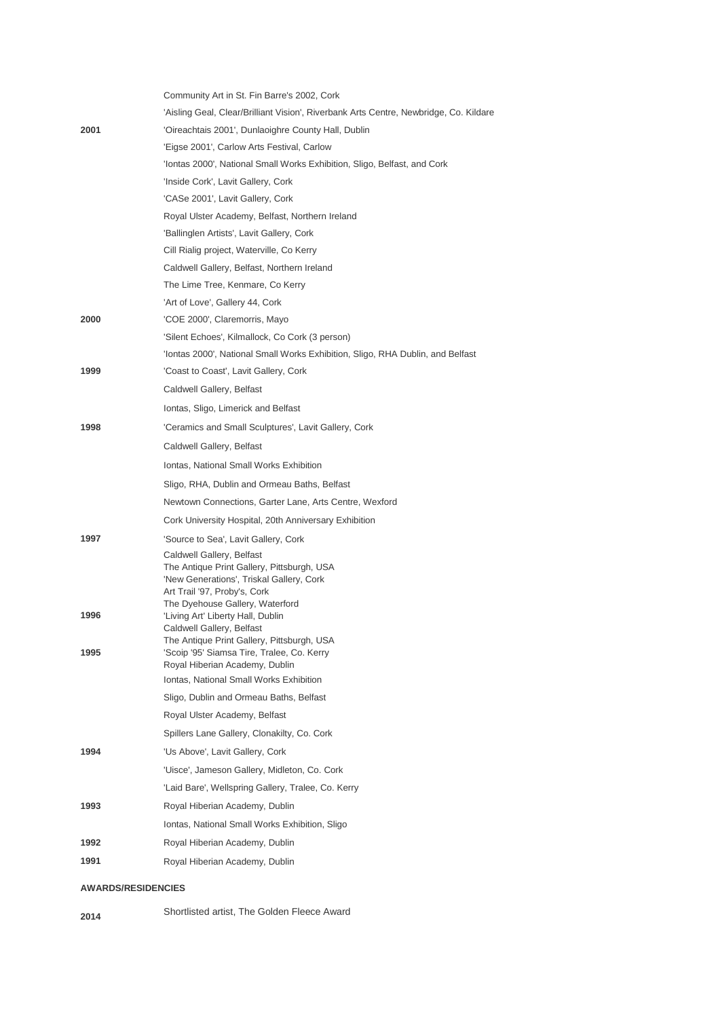|      | Community Art in St. Fin Barre's 2002, Cork                                            |
|------|----------------------------------------------------------------------------------------|
|      | 'Aisling Geal, Clear/Brilliant Vision', Riverbank Arts Centre, Newbridge, Co. Kildare  |
| 2001 | 'Oireachtais 2001', Dunlaoighre County Hall, Dublin                                    |
|      | 'Eigse 2001', Carlow Arts Festival, Carlow                                             |
|      | 'Iontas 2000', National Small Works Exhibition, Sligo, Belfast, and Cork               |
|      | 'Inside Cork', Lavit Gallery, Cork                                                     |
|      | 'CASe 2001', Lavit Gallery, Cork                                                       |
|      | Royal Ulster Academy, Belfast, Northern Ireland                                        |
|      | 'Ballinglen Artists', Lavit Gallery, Cork                                              |
|      | Cill Rialig project, Waterville, Co Kerry                                              |
|      | Caldwell Gallery, Belfast, Northern Ireland                                            |
|      | The Lime Tree, Kenmare, Co Kerry                                                       |
|      | 'Art of Love', Gallery 44, Cork                                                        |
| 2000 | 'COE 2000', Claremorris, Mayo                                                          |
|      | 'Silent Echoes', Kilmallock, Co Cork (3 person)                                        |
|      | 'Iontas 2000', National Small Works Exhibition, Sligo, RHA Dublin, and Belfast         |
| 1999 | 'Coast to Coast', Lavit Gallery, Cork                                                  |
|      | Caldwell Gallery, Belfast                                                              |
|      | Iontas, Sligo, Limerick and Belfast                                                    |
| 1998 | 'Ceramics and Small Sculptures', Lavit Gallery, Cork                                   |
|      | Caldwell Gallery, Belfast                                                              |
|      | Iontas, National Small Works Exhibition                                                |
|      | Sligo, RHA, Dublin and Ormeau Baths, Belfast                                           |
|      | Newtown Connections, Garter Lane, Arts Centre, Wexford                                 |
|      | Cork University Hospital, 20th Anniversary Exhibition                                  |
| 1997 | 'Source to Sea', Lavit Gallery, Cork                                                   |
|      | Caldwell Gallery, Belfast                                                              |
|      | The Antique Print Gallery, Pittsburgh, USA<br>'New Generations', Triskal Gallery, Cork |
|      | Art Trail '97, Proby's, Cork                                                           |
| 1996 | The Dyehouse Gallery, Waterford<br>'Living Art' Liberty Hall, Dublin                   |
|      | Caldwell Gallery, Belfast                                                              |
|      | The Antique Print Gallery, Pittsburgh, USA                                             |
| 1995 | 'Scoip '95' Siamsa Tire, Tralee, Co. Kerry<br>Royal Hiberian Academy, Dublin           |
|      | Iontas, National Small Works Exhibition                                                |
|      | Sligo, Dublin and Ormeau Baths, Belfast                                                |
|      | Royal Ulster Academy, Belfast                                                          |
|      | Spillers Lane Gallery, Clonakilty, Co. Cork                                            |
| 1994 | 'Us Above', Lavit Gallery, Cork                                                        |
|      | 'Uisce', Jameson Gallery, Midleton, Co. Cork                                           |
|      | 'Laid Bare', Wellspring Gallery, Tralee, Co. Kerry                                     |
| 1993 | Royal Hiberian Academy, Dublin                                                         |
|      | Iontas, National Small Works Exhibition, Sligo                                         |
| 1992 | Royal Hiberian Academy, Dublin                                                         |
| 1991 | Royal Hiberian Academy, Dublin                                                         |
|      |                                                                                        |

## **AWARDS/RESIDENCIES**

**<sup>2014</sup>** Shortlisted artist, The Golden Fleece Award